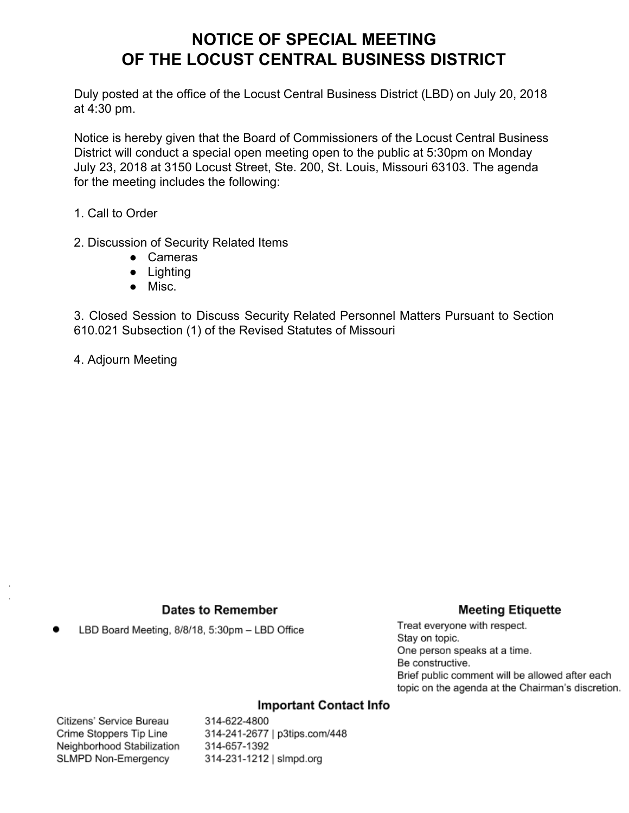# **NOTICE OF SPECIAL MEETING OF THE LOCUST CENTRAL BUSINESS DISTRICT**

Duly posted at the office of the Locust Central Business District (LBD) on July 20, 2018 at 4:30 pm.

Notice is hereby given that the Board of Commissioners of the Locust Central Business District will conduct a special open meeting open to the public at 5:30pm on Monday July 23, 2018 at 3150 Locust Street, Ste. 200, St. Louis, Missouri 63103. The agenda for the meeting includes the following:

1. Call to Order

- 2. Discussion of Security Related Items
	- Cameras
	- Lighting
	- Misc.

3. Closed Session to Discuss Security Related Personnel Matters Pursuant to Section 610.021 Subsection (1) of the Revised Statutes of Missouri

4. Adjourn Meeting

### **Dates to Remember**

### **Meeting Etiquette**

LBD Board Meeting, 8/8/18, 5:30pm - LBD Office

Treat everyone with respect. Stay on topic. One person speaks at a time. Be constructive. Brief public comment will be allowed after each topic on the agenda at the Chairman's discretion.

### **Important Contact Info**

Citizens' Service Bureau Crime Stoppers Tip Line Neighborhood Stabilization SLMPD Non-Emergency

314-622-4800 314-241-2677 | p3tips.com/448 314-657-1392 314-231-1212 | slmpd.org